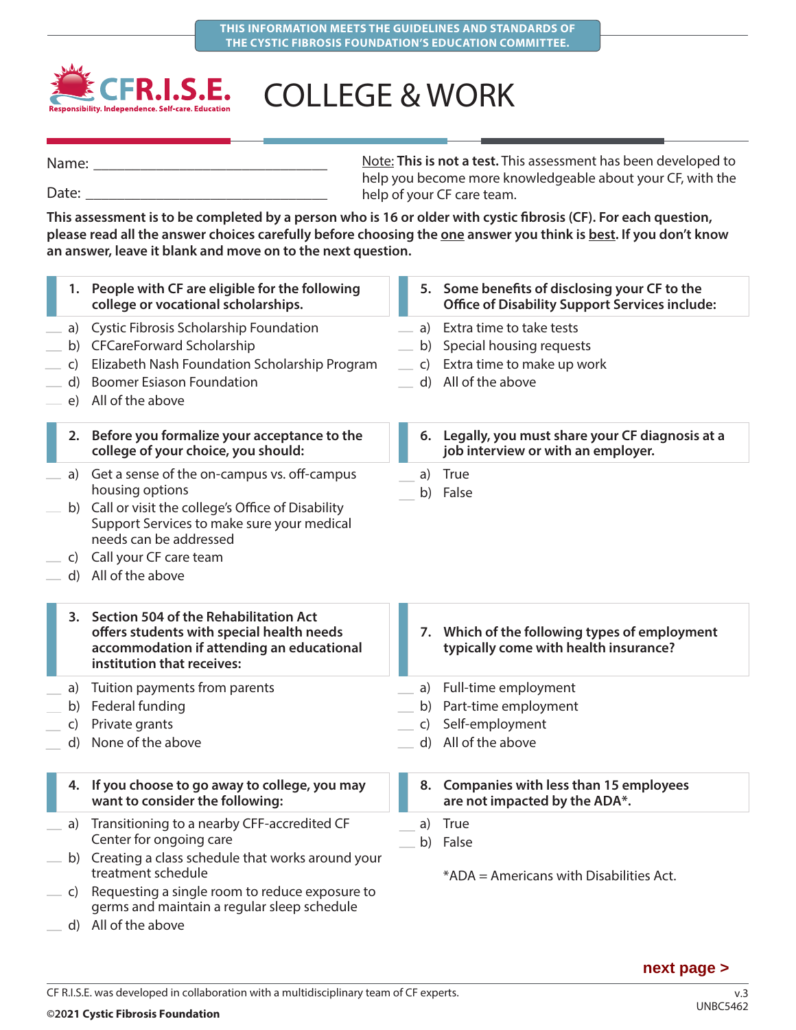

## COLLEGE & WORK

Name:

Date:

Note: **This is not a test.** This assessment has been developed to help you become more knowledgeable about your CF, with the help of your CF care team.

**This assessment is to be completed by a person who is 16 or older with cystic fibrosis (CF). For each question,**  please read all the answer choices carefully before choosing the one answer you think is best. If you don't know **an answer, leave it blank and move on to the next question.**

|                                    | 1. People with CF are eligible for the following<br>college or vocational scholarships.                                                                                                                                                              |              | 5. Some benefits of disclosing your CF to the<br><b>Office of Disability Support Services include:</b>             |
|------------------------------------|------------------------------------------------------------------------------------------------------------------------------------------------------------------------------------------------------------------------------------------------------|--------------|--------------------------------------------------------------------------------------------------------------------|
| $\mathsf{C}$<br>$\mathsf{d}$<br>e) | a) Cystic Fibrosis Scholarship Foundation<br>b) CFCareForward Scholarship<br>Elizabeth Nash Foundation Scholarship Program<br><b>Boomer Esiason Foundation</b><br>All of the above                                                                   |              | a) Extra time to take tests<br>b) Special housing requests<br>c) Extra time to make up work<br>d) All of the above |
|                                    | 2. Before you formalize your acceptance to the<br>college of your choice, you should:                                                                                                                                                                |              | 6. Legally, you must share your CF diagnosis at a<br>job interview or with an employer.                            |
|                                    | a) Get a sense of the on-campus vs. off-campus<br>housing options<br>b) Call or visit the college's Office of Disability<br>Support Services to make sure your medical<br>needs can be addressed<br>c) Call your CF care team<br>d) All of the above |              | a) True<br>b) False                                                                                                |
|                                    |                                                                                                                                                                                                                                                      |              |                                                                                                                    |
|                                    | 3. Section 504 of the Rehabilitation Act<br>offers students with special health needs<br>accommodation if attending an educational<br>institution that receives:                                                                                     | 7.           | Which of the following types of employment<br>typically come with health insurance?                                |
| a)<br>b)<br>$\mathsf{C}$<br>d)     | Tuition payments from parents<br>Federal funding<br>Private grants<br>None of the above                                                                                                                                                              | $\mathsf{C}$ | a) Full-time employment<br>b) Part-time employment<br>Self-employment<br>d) All of the above                       |
|                                    | 4. If you choose to go away to college, you may<br>want to consider the following:                                                                                                                                                                   |              | 8. Companies with less than 15 employees<br>are not impacted by the ADA*.                                          |